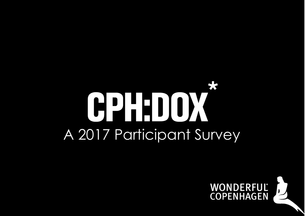## CPHDOX A 2017 Participant Survey

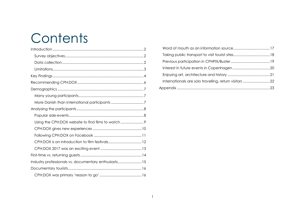## **Contents**

| Using the CPH:DOX website to find films to watch      |  |
|-------------------------------------------------------|--|
|                                                       |  |
|                                                       |  |
|                                                       |  |
|                                                       |  |
|                                                       |  |
| Industry professionals vs. documentary enthusiasts 15 |  |
|                                                       |  |
|                                                       |  |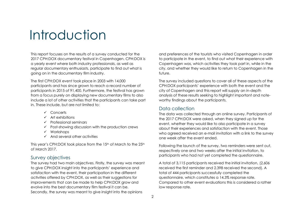## Introduction

This report focuses on the results of a survey conducted for the 2017 CPH:DOX documentary festival in Copenhagen. CPH:DOX is a yearly event where both industry professionals, as well as regular documentary enthusiasts, participate to find out what is going on in the documentary film industry.

The first CPH:DOX event took place in 2003 with 14,000 participants and has since grown to reach a record number of participants in 2015 of 91,400. Furthermore, the festival has grown from a focus purely on displaying new documentary films to also include a lot of other activities that the participants can take part in. These include, but are not limited to:

- ✓ Concerts
- $\checkmark$  Art exhibitions
- ✓ Professional seminars
- $\checkmark$  Post-showing discussion with the production crews
- ✓ Workshops
- $\checkmark$  And several other activities

This year's CPH:DOX took place from the 15<sup>th</sup> of March to the 25<sup>th</sup> of March 2017.

#### <span id="page-2-0"></span>Survey objectives

The survey had two main objectives. Firstly, the survey was meant to give CPH:DOX insight into the participants' experience and satisfaction with the event, their participation in the different activities offered by CPH:DOX, as well as their suggestions for improvements that can be made to help CPH:DOX grow and evolve into the best documentary film festival it can be. Secondly, the survey was meant to give insight into the opinions

and preferences of the tourists who visited Copenhagen in order to participate in the event, to find out what their experience with Copenhagen was, which activities they took part in, while in the city, and whether they would like to return to Copenhagen in the future.

The survey included questions to cover all of these aspects of the CPH:DOX participants' experience with both the event and the city of Copenhagen and this report will supply an in-depth analysis of these results seeking to highlight important and noteworthy findings about the participants.

#### <span id="page-2-1"></span>Data collection

The data was collected through an online survey. Participants of the 2017 CPH:DOX were asked, when they signed up for the event, whether they would like to also participate in a survey about their experiences and satisfaction with the event. Those who agreed received an e-mail invitation with a link to the survey one week after the event ended.

Following the launch of the survey, two reminders were sent out, respectively one and two weeks after the initial invitation, to participants who had not yet completed the questionnaire.

A total of 3,115 participants received the initial invitation, (2,606 received the first reminder and 2.398 received the second). A total of 444 participants successfully completed the questionnaire, which constitutes a 14.3% response rate. Compared to other event evaluations this is considered a rather low response rate.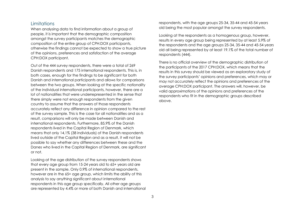#### <span id="page-3-0"></span>**Limitations**

When analysing data to find information about a group of people, it is important that the demographic composition amongst the survey participants matches the demographic composition of the entire group of CPH:DOX participants, otherwise the findings cannot be expected to show a true picture of the opinions, preferences and satisfaction of the average CPH:DOX participant.

Out of the 444 survey respondents, there were a total of 269 Danish respondents and 175 international respondents. This is, in both cases, enough for the findings to be significant for both Danish and international participants and allows for comparisons between the two groups. When looking at the specific nationality of the individual international participants, however, there are a lot of nationalities that were underrepresented in the sense that there simply were not enough respondents from the given country to assume that the answers of those respondents accurately reflect any difference in opinion compared to the rest of the survey sample. This is the case for all nationalities and as a result, comparisons will only be made between Danish and international respondents. Furthermore, 85,9% of the Danish respondents lived in the Capital Region of Denmark, which means that only 14,1% (38 individuals) of the Danish respondents lived outside of the Capital Region and as a result, it will not be possible to say whether any differences between these and the Danes who lived in the Capital Region of Denmark, are significant or not.

Looking at the age distribution of the survey respondents shows that every age group from 15-24 years old to 65+ years old are present in the sample. Only 0.9% of international respondents, however are in the 65+ age group, which limits the ability of this analysis to say anything significant about international respondents in this age group specifically. All other age groups are represented by 4.4% or more of both Danish and international respondents, with the age groups 25-34, 35-44 and 45-54 years old being the most popular amongst the survey respondents.

Looking at the respondents as a homogenous group, however, results in every age group being represented by at least 5.9% of the respondents and the age groups 25-34, 35-44 and 45-54 years old all being represented by at least 19.1% of the total number of respondents (444).

There is no official overview of the demographic distribution of the participants of the 2017 CPH:DOX, which means that the results in this survey should be viewed as an exploratory study of the survey participants' opinions and preferences, which may or may not accurately reflect the opinions and preferences of the average CPH:DOX participant. The answers will, however, be valid approximations of the opinions and preferences of the respondents who fit in the demographic groups described above.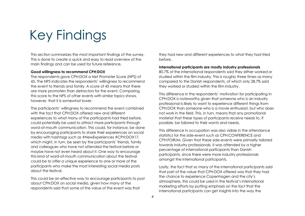## Key Findings

This section summarizes the most important findings of the survey. This is done to create a quick and easy to read overview of the main findings and can be used for future reference.

#### **Good willingness to recommend CPH:DOX**

The respondents gave CPH:DOX a Net Promoter Score (NPS) of 45. The NPS indicates the respondents' willingness to recommend the event to friends and family. A score of 45 means that there are more promoters than detractors for the event. Comparing this score to the NPS of other events with similar topics shows, however, that it is somewhat lower.

The participants' willingness to recommend the event combined with the fact that CPH:DOX offered new and different experiences to what many of the participants had tried before, could potentially be used to attract more participants through word-of-mouth communication. This could, for instance, be done by encouraging participants to share their experiences on social media with hashtags such as #NewExperiences #CPH:DOX17, which might, in turn, be seen by the participants' friends, family and colleagues who have not attended the festival before or maybe have not even heard about it. One way to encourage this kind of word-of-mouth communication about the festival could be to offer a unique experience to one or more of the participants who make the most interesting social media posts about the festival.

This could be an effective way to encourage participants to post about CPH:DOX on social media, given how many of the respondents said that some of the value of the event was that

they had new and different experiences to what they had tried before.

#### **International participants are mostly industry professionals**

80.7% of the international respondents said they either worked or studied within the film industry. This is roughly three times as many compared to the Danish respondents, of which only 28.7% said they worked or studied within the film industry.

This difference in the respondents' motivation for participating in CPH:DOX is noteworthy given that someone who is an industry professional is likely to want to experience different things from CPH:DOX than someone who is a movie enthusiast, but who does not work in the field. This, in turn, means that any promotional material that these types of participants receive needs to, if possible, be tailored to their wants and needs.

This difference in occupation was also visible in the attendance statistics for the side-event such as CPH:CONFERENCE and CPH:FORUM. Given that these side-events were primarily tailored towards industry professionals, it was attended by a higher percentage of international participants than Danish participants, since there were more industry professionals amongst the international participants.

Lastly, the fact that so many of the international participants said that part of the value that CPH:DOX offered was that they had the chance to experience Copenhagen and the city's atmosphere, this could be used in the festival's international marketing efforts by putting emphasis on the fact that the international participants can get insights into the way the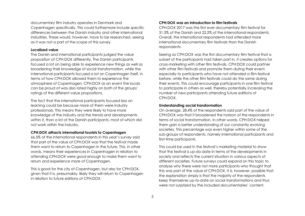documentary film industry operates in Denmark and Copenhagen specifically. This could furthermore include specific differences between the Danish industry and other international industries. These would, however, have to be researched, seeing as it was not a part of the scope of this survey.

#### **Localized value**

The Danish and international participants judged the value proposition of CPH:DOX differently. The Danish participants focused a lot on being able to experience new things as well as broadening their knowledge of social transformation, while the international participants focused a lot on Copenhagen itself, in terms of how CPH:DOX allowed them to experience the atmosphere of Copenhagen. CPH:DOX as an event the locals can be proud of was also rated highly on both of the groups' ratings of the different value propositions.

The fact that the international participants focused less on learning could be because more of them were industry professionals. This means they were likely to have more knowledge of the industry and the trends and developments within it, than a lot of the Danish participants, most of which did not work within the industry.

#### **CPH:DOX attracts international tourists to Copenhagen**

66.5% of the international respondents in this year's survey said that part of the value of CPH:DOX was that the festival made them want to return to Copenhagen in the future. This, in other words, means their experiences in Copenhagen in relation to attending CPH:DOX were good enough to make them want to return and experience more of Copenhagen.

This is good for the city of Copenhagen, but also for CPH:DOX, given that it is, presumably, likely they will return to Copenhagen in relation to future editions of CPH:DOX.

#### **CPH:DOX was an introduction to film festivals**

CPH:DOX 2017 was the first ever documentary film festival for 31.3% of the Danish and 22.2% of the international respondents. Overall, the international respondents had attended more international documentary film festivals than the Danish respondents.

Seeing as CPH:DOX was the first documentary film festival that a subset of the participants had taken part in, it creates options for cross-marketing with other film festivals. CPH:DOX could partner with other film festivals and promote them during their event, especially to participants who have not attended a film festival before, while the other film festivals could do the same during their events. This could encourage participants in one film festival to participate in others as well, thereby potentially increasing the number of new participants attending future editions of CPH:DOX.

#### **Understanding social transformation**

On average, 28.4% of the respondents said part of the value of CPH:DOX was that it broadened the horizon of the respondents in terms of social transformation. In other words, CPH:DOX helped them gain a better understanding of our constantly evolving societies. This percentage was even higher within some of the sub-groups of respondents, namely international participants and first-time participants.

This could be used in the festival's marketing material to show that the festival is up-do-date in terms of the developments in society and reflects the current situation in various aspects of different societies. Future surveys could expand on this topic to analyse why there were not more participants who thought that this was part of the value of CPH:DOX. It is, however, possible that the explanation simply is that the majority of the respondents keep themselves up-to-date on social transformations and thus were not surprised by the included documentaries' content.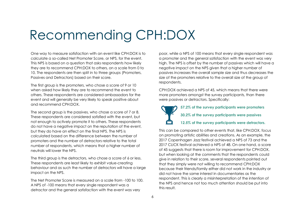## Recommending CPH:DOX

One way to measure satisfaction with an event like CPH:DOX is to calculate a so-called Net Promoter Score, or NPS, for the event. This NPS is based on a question that asks respondents how likely they are to recommend CPH:DOX to others, on a scale from 0 to 10. The respondents are then split in to three groups (Promoters, Passives and Detractors) based on their score.

The first group is the promoters, who chose a score of 9 or 10 when asked how likely they are to recommend the event to others. These respondents are considered ambassadors for the event and will generally be very likely to speak positive about and recommend CPH:DOX.

The second group is the passives, who chose a score of 7 or 8. These respondents are considered satisfied with the event, but not enough to actively promote it to others. These respondents do not have a negative impact on the reputation of the event, but they do have an effect on the final NPS. The NPS is calculated based on the difference between the number of promoters and the number of detractors relative to the total number of respondents, which means that a higher number of neutrals will lower the NPS.

The third group is the detractors, who chose a score of 6 or less. These respondents are least likely to exhibit value-creating behaviour and as such the number of detractors will have a large impact on the NPS.

The Net Promoter Score is measured on a scale from -100 to 100. A NPS of -100 means that every single respondent was a detractor and the general satisfaction with the event was very

poor, while a NPS of 100 means that every single respondent was a promoter and the general satisfaction with the event was very high. The NPS is offset by the number of passives which will have a negative impact on the NPS given that a higher number of passives increases the overall sample size and thus decreases the size of the promoters relative to the overall size of the group of respondents.

CPH:DOX achieved a NPS of 45, which means that there were more promoters amongst the survey participants, than there were passives or detractors. Specifically:

**57.2% of the survey participants were promoters 30.2% of the survey participants were passives 12.5% of the survey participants were detractors.**

This can be compared to other events that, like CPH:DOX, focus on promoting artistic abilities and creations. As an example, the 2017 Copenhagen Jazz festival achieved a NPS of 73 and the 2017 CLICK festival achieved a NPS of 48. On one hand, a score of 45 suggests that there is room for improvement for CPH:DOX, but when looking at the comments that the respondents could give in relation to their score, several respondents pointed out that they simply were not willing to recommend CPH:DOX because their friends/family either did not work in the industry or did not have the same interest in documentaries as the respondent. This is clearly a misinterpretation of the intention of the NPS and hence not too much attention should be put into this result.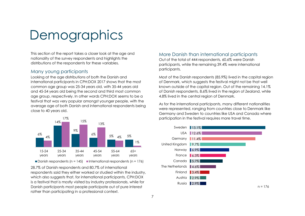## **Demographics**

This section of the report takes a closer look at the age and nationality of the survey respondents and highlights the distributions of the respondents for these variables.

#### <span id="page-7-0"></span>Many young participants

Looking at the age distributions of both the Danish and international participants in CPH:DOX 2017 shows that the most common age group was 25-34 years old, with 35-44 years old and 45-54 years old being the second and third most common age group, respectively. In other words CPH:DOX seems to be a festival that was very popular amongst younger people, with the average age of both Danish and international respondents being close to 40 years old.



28.7% of Danish respondents and 80.7% of international respondents said they either worked or studied within the industry, which also suggests that, for international participants, CPH:DOX is a festival that is mostly visited by industry professionals, while for Danish participants most people participate out of pure interest rather than participating in a professional context.

#### <span id="page-7-1"></span>More Danish than international participants

Out of the total of 444 respondents, 60.6% were Danish participants, while the remaining 39.4% were international participants.

Most of the Danish respondents (85.9%) lived in the capital region of Denmark, which suggests the festival might not be that well known outside of the capital region. Out of the remaining 14.1% of Danish respondents, 8.6% lived in the region of Zealand, while 4.8% lived in the central region of Denmark.

As for the international participants, many different nationalities were represented, ranging from countries close to Denmark like Germany and Sweden to countries like USA and Canada where participation in the festival requires more travel time.

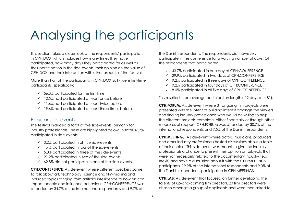## Analysing the participants

This section takes a closer look at the respondents' participation in CPH:DOX, which includes how many times they have participated, how many days they participated for as well as their participation in the side-events, their opinion on the value of CPH:DOX and their interaction with other aspects of the festival.

More than half of the participants in CPH:DOX 2017 were first-time participants, specifically:

- $\checkmark$  56.3% participated for the first time
- ✓ 12.5% had participated at least once before
- ✓ 11.6% had participated at least twice before
- $\checkmark$  19.6% had participated at least three times before

#### <span id="page-8-0"></span>Popular side-events

The festival included a total of five side-events, primarily for industry professionals. These are highlighted below. In total 37,2% participated in side-events.

- $\checkmark$  0.2% participated in all five side-events
- $\checkmark$  1.4% participated in four of the side-events
- $\checkmark$  5.0% participated in three of the side-events
- $\checkmark$  21.2% participated in two of the side-events
- $\checkmark$  62.8% did not participate in one of the side-events

**CPH:CONFERENCE:** A side-event where different speakers came to talk about art, technology, science and film-making and included topics ranging from artificial intelligence to how art can impact people and influence behaviour. CPH:CONFERENCE was attended by 34.7% of the international respondents and 9.7% of

the Danish respondents. The respondents did, however, participate in the conference for a varying number of days. Of the respondents that participated:

- ✓ 43.7% participated in one day of CPH:CONFERENCE
- ✓ 29.9% participated in two days of CPH:CONFERENCE
- ✓ 9.2% participated in three days of CPH:CONFERENCE
- ✓ 9.2% participated in four days of CPH:CONFERENCE
- ✓ 8.0% participated in all five days of CPH:CONFERENCE

This resulted in an average participation length of 2 days (n = 81).

**CPH:FORUM:** A side-event where 31 ongoing film projects were presented with the intent of building interest amongst the viewers and finding industry professionals who would be willing to help the different projects complete, either financially or through other measures of support. CPH:FORUM was attended by 30.7% of the international respondents and 7.5% of the Danish respondents.

**CPH:MEETINGS:** A side-event where actors, musicians, producers and other industry professionals hosted discussions about a topic of their choice. This side-event was meant to give the industry professionals a chance to present their opinion on subjects that were not necessarily related to the documentary industry (e.g. Brexit) and have a discussion about it with the CPH:MEETINGS participants. 19.9% of the international respondents and 9.0% of the Danish respondents participated in CPH:MEETINGS.

**CPH:LAB:** A side-event that focused on further developing the talents of up-and-coming film directors. 20 film directors were chosen amongst a group of applicants and were then asked to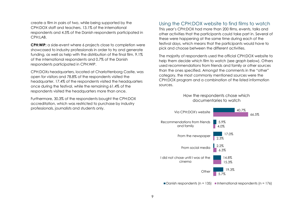create a film in pairs of two, while being supported by the CPH:DOX staff and teachers. 13.1% of the international respondents and 4.5% of the Danish respondents participated in CPH:LAB.

**CPH:WIP:** a side-event where 6 projects close to completion were showcased to industry professionals in order to try and generate funding, as well as help with the distribution of the final film. 9.1% of the international respondents and 0.7% of the Danish respondents participated in CPH:WIP.

CPH:DOXs headquarters, located at Charlottenborg Castle, was open for visitors and 78.8% of the respondents visited the headquarter. 17.4% of the respondents visited the headquarters once during the festival, while the remaining 61.4% of the respondents visited the headquarters more than once.

Furthermore, 30.3% of the respondents bought the CPH:DOX accreditation, which was restricted to purchase by industry professionals, journalists and students only.

#### <span id="page-9-0"></span>Using the CPH:DOX website to find films to watch

This year's CPH:DOX had more than 200 films, events, talks and other activities that the participants could take part in. Several of these were happening at the same time during each of the festival days, which means that the participants would have to pick and choose between the different activities.

The majority of respondents used the official CPH:DOX website to help them decide which film to watch (see graph below). Others used recommendations from friends and family or other sources than the ones specified. Amongst the comments in the "other" category, the most commonly mentioned sources were the CPH:DOX program and a combination of the listed information sources.

#### How the respondents chose which documentaries to watch



Danish respondents (n = 135) International respondents (n = 176)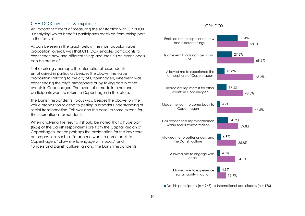#### <span id="page-10-0"></span>CPH:DOX gives new experiences

An important aspect of measuring the satisfaction with CPH:DOX is analysing which benefits participants received from taking part in the festival.

As can be seen in the graph below, the most popular value proposition, overall, was that CPH:DOX enables participants to experience new and different things and that it is an event locals can be proud of.

Not surprisingly perhaps, the international respondents emphasised in particular, besides the above, the value propositions relating to the city of Copenhagen, whether it was experiencing the city's atmosphere or by taking part in other events in Copenhagen. The event also made international participants want to return to Copenhagen in the future.

The Danish respondents' focus was, besides the above, on the value proposition relating to getting a broader understanding of social transformation. This was also the case, to some extent, for the international respondents.

When analysing the results, it should be noted that a huge part (86%) of the Danish respondents are from the Capital Region of Copenhagen, hence perhaps the explanation for the low score on propositions such as "made me want to come back to Copenhagen, "allow me to engage with locals" and "understand Danish culture" among the Danish respondents.

#### CPH:DOX ...



Danish participants (n = 268) International participants (n = 176)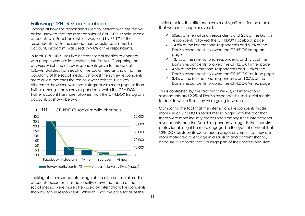#### <span id="page-11-0"></span>Following CPH:DOX on Facebook

Looking at how the respondents liked to interact with the festival online, showed that the most popular of CPH:DOX's social media accounts was Facebook, which was used by 35.1% of the respondents, while the second most popular social media account, Instagram, was used by 9.0% of the respondents.

In total, CPH:DOX uses five different social medias to connect with people who are interested in the festival. Comparing the answers which the survey respondents gave to the actual follower statistics from each of the social medias, show that the popularity of the social medias amongst the survey respondents more or less matches the real follower statistics. One key difference, however, was that Instagram was more popular than Twitter amongst the survey respondents, while the CPH:DOX Twitter account has more followers than the CPH:DOX Instagram account, as shown below:



Looking at the respondents' usage of the different social media accounts based on their nationality, shows that each of the social medias were more often used by international respondents than by Danish respondents. While this was the case for all of the

social medias, the difference was most significant for the medias that were most popular overall:

- $\checkmark$  50.6% of international respondents and 25% of the Danish respondents followed the CPH:DOX Facebook page
- $\checkmark$  14.8% of the international respondents and 5.2% of the Danish respondents followed the CPH:DOX Instagram page
- $\checkmark$  13.1% of the international respondents and 1.1% of the Danish respondents followed the CPH:DOX Twitter page
- $\checkmark$  4.5% of the international respondents and 1.9% of the Danish respondents followed the CPH:DOX YouTube page
- $\checkmark$  3.4% of the international respondents and 0.7% of the Danish respondents followed the CPH:DOX Vimeo page

This is contrasted by the fact that only 6.3% of international respondents and 2.2% of Danish respondents used social media to decide which films they were going to watch.

Comparing the fact that the international respondents made more use of CPH:DOX's social media pages with the fact that there were more industry professionals amongst the international respondents than the Danish respondents, suggests that industry professionals might be more engaged in the type of content that CPH:DOX posts on its social media pages or simply that they are more motivated to engage in discussion and content sharing, because it is a topic that is a large part of their professional lives.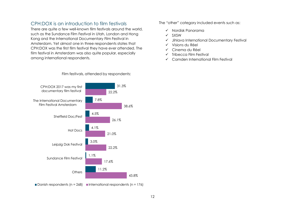#### <span id="page-12-0"></span>CPH:DOX is an introduction to film festivals

There are quite a few well-known film festivals around the world, such as the Sundance Film Festival in Utah, London and Hong Kong and the International Documentary Film Festival in Amsterdam. Yet almost one in three respondents states that CPH:DOX was the first film festival they have ever attended. The film festival in Amsterdam was also quite popular, especially among international respondents.

The "other" category included events such as:

- ✓ Nordisk Panorama
- ✓ SXSW
- ✓ Jihlava International Documentary Festival
- ✓ Visions du Réel
- ✓ Cinema du Réel
- ✓ Tribecca Film Festival
- ✓ Camden International Film Festival



 $\blacksquare$  Danish respondents (n = 268)  $\blacksquare$  International respondents (n = 176)

#### Film festivals, attended by respondents: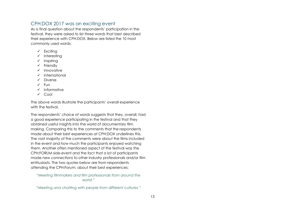#### <span id="page-13-0"></span>CPH:DOX 2017 was an exciting event

As a final question about the respondents' participation in the festival, they were asked to list three words that best described their experience with CPH:DOX. Below are listed the 10 most commonly used words:

- ✓ Exciting
- ✓ Interesting
- ✓ Inspiring
- ✓ Friendly
- ✓ Innovative
- ✓ International
- ✓ Diverse
- $V$  Fun
- ✓ Informative
- ✓ Cool

The above words illustrate the participants' overall experience with the festival.

The respondents' choice of words suggests that they, overall, had a good experience participating in the festival and that they obtained useful insights into the world of documentary film making. Comparing this to the comments that the respondents made about their best experiences at CPH:DOX underlines this. The vast majority of the comments were about the films included in the event and how much the participants enjoyed watching them. Another often mentioned aspect of the festival was the CPH:FORUM side-event and the fact that a lot of participants made new connections to other industry professionals and/or film enthusiasts. The two quotes below are from respondents attending the CPH:Forum, about their best experiences:

*"Meeting filmmakers and film professionals from around the world."*

*"Meeting and chatting with people from different cultures."*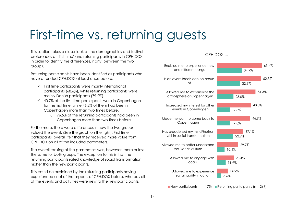## First-time vs. returning guests

This section takes a closer look at the demographics and festival preferences of 'first time' and returning participants in CPH:DOX in order to identify the differences, if any, between the two groups.

Returning participants have been identified as participants who have attended CPH:DOX at least once before.

- $\checkmark$  First time participants were mainly international participants (68.6%), while returning participants were mainly Danish participants (79.2%).
- $\checkmark$  40.7% of the first time participants were in Copenhagen for the first time, while 46.2% of them had been in Copenhagen more than two times before.
	- o 76.5% of the returning participants had been in Copenhagen more than two times before.

Furthermore, there were differences in how the two groups valued the event. (See the graph on the right). First time participants, overall, felt that they received more value from CPH:DOX on all of the included parameters.

The overall ranking of the parameters was, however, more or less the same for both groups. The exception to this is that the returning participants rated knowledge of social transformation higher than the new participants.

This could be explained by the returning participants having experienced a lot of the aspects of CPH:DOX before, whereas all of the events and activities were new to the new participants.

#### CPH:DOX ...



New participants (n = 175) Returning participants (n =  $269$ )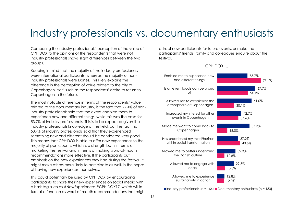### Industry professionals vs. documentary enthusiasts

Comparing the industry professionals' perception of the value of CPH:DOX to the opinions of the respondents that were not industry professionals shows slight differences between the two groups.

Keeping in mind that the majority of the industry professionals were international participants, whereas the majority of nonindustry professionals were Danes. This likely explains the difference in the perception of value related to the city of Copenhagen itself, such as the respondents' desire to return to Copenhagen in the future.

The most notable difference in terms of the respondents' value related to the documentary industry, is the fact that 77.4% of nonindustry professionals said that the event enabled them to experience new and different things, while this was the case for 53.7% of industry professionals. This is to be expected given the industry professionals knowledge of the field, but the fact that 53.7% of industry professionals said that they experienced something new and different should be considered very good. This means that CPH:DOX is able to offer new experiences to the majority of participants, which is a strength both in terms of marketing the festival and in terms of making word-of-mouth recommendations more effective. If the participants put emphasis on the new experiences they had during the festival, it might make others more likely to participate as well, in the hopes of having new experiences themselves.

This could potentially be used by CPH:DOX by encouraging participants to share their new experiences on social media with a hashtag such as #NewExperiences #CPH:DOX17, which will in turn also function as word-of-mouth recommendations that might attract new participants for future events, or make the participants' friends, family and colleagues enquire about the festival.



Industry professionals (n = 164) Documentary enthusiasts (n = 133)

#### CPH:DOX ...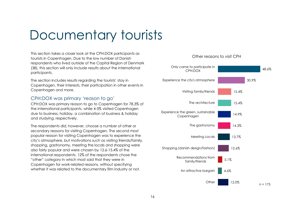## Documentary tourists

This section takes a closer look at the CPH:DOX participants as tourists in Copenhagen. Due to the low number of Danish respondents who lived outside of the Capital Region of Denmark (38), this section will only include results about the international participants.

The section includes results regarding the tourists' stay in Copenhagen, their interests, their participation in other events in Copenhagen and more.

#### <span id="page-16-0"></span>CPH:DOX was primary 'reason to go'

CPH:DOX was primary reason to go to Copenhagen for 78.3% of the international participants, while 4-5% visited Copenhagen due to business, holiday, a combination of business & holiday and studying, respectively.

The respondents did, however, choose a number of other or secondary reasons for visiting Copenhagen. The second most popular reason for visiting Copenhagen was to experience the city's atmosphere, but motivations such as visiting friends/family, shopping, gastronomy, meeting the locals and shopping were also fairly popular and were chosen by 12.6-15.4% of the international respondents. 12% of the respondents chose the "other" category in which most said that they were in Copenhagen for work-related reasons, without specifying whether it was related to the documentary film industry or not.

#### Other reasons to visit CPH

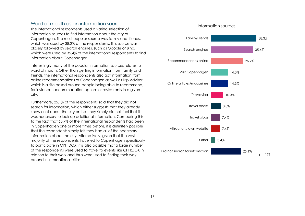#### <span id="page-17-0"></span>Word of mouth as an information source

The international respondents used a varied selection of information sources to find information about the city of Copenhagen. The most popular source was family and friends, which was used by 38.2% of the respondents. This source was closely followed by search engines, such as Google or Bing, which were used by 35.4% of the international respondents to find information about Copenhagen.

Interestingly many of the popular information sources relates to word of mouth. Other than getting information from family and friends, the international respondents also got information from online recommendations of Copenhagen as well as Trip Advisor, which is a site based around people being able to recommend, for instance, accommodation options or restaurants in a given city.

Furthermore, 25.1% of the respondents said that they did not search for information, which either suggests that they already knew a lot about the city or that they simply did not feel that it was necessary to look up additional information. Comparing this to the fact that 65.7% of the international respondents had been in Copenhagen one or more times before, it is definitely possible that the respondents simply felt they had all of the necessary information about the city. Alternatively, given that the vast majority of the respondents travelled to Copenhagen specifically to participate in CPH:DOX, it is also possible that a large number of the respondents were used to travel to events like CPH:DOX in relation to their work and thus were used to finding their way around in international cities.

#### Information sources

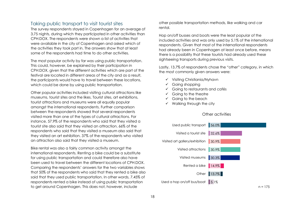#### <span id="page-18-0"></span>Taking public transport to visit tourist sites

The survey respondents stayed in Copenhagen for an average of 3.75 nights, during which they participated in other activities than CPH:DOX. The respondents were shown a list of activities that were available in the city of Copenhagen and asked which of the activities they took part in. The answers show that at least some of the respondents had time to do other activities.

The most popular activity by far was using public transportation. This could, however, be explained by their participation in CPH:DOX, given that the different activities which are part of the festival are located in different areas of the city and as a result, the participants would have to travel between these locations, which could be done by using public transportation.

Other popular activities included visiting cultural attractions like museums, tourist sites and the likes. Tourist sites, art exhibitions, tourist attractions and museums were all equally popular amongst the international respondents. Further comparison between the respondents showed that several respondents visited more than one of the types of cultural attractions. For instance, 57.9% of the respondents who said that they visited a tourist site also said that they visited an attraction. 66% of the respondents who said that they visited a museum also said that they visited an art exhibition. 37% of the respondents who visited an attraction also said that they visited a museum.

Bike rental was also a fairly common activity amongst the international respondents. Renting a bike could be a substitute for using public transportation and could therefore also have been used to travel between the different locations of CPH:DOX. Comparing the respondents' answers for the two variables shows that 50% of the respondents who said that they rented a bike also said that they used public transportation. In other words, 7.45% of respondents rented a bike instead of using public transportation to get around Copenhagen. This does not, however, include

other possible transportation methods, like walking and car rental.

Hop on/off busses and boats were the least popular of the included activities and was only used by 5.1% of the international respondents. Given that most of the international respondents had already been in Copenhagen at least once before, means there is a possibility that these tourists had already used these sightseeing transports during previous visits.

Lastly, 13.7% of respondents chose the "other" category, in which the most commonly given answers were:

- ✓ Visiting Christiania/Nyhavn
- ✓ Going shopping
- ✓ Going to restaurants and cafés
- $\checkmark$  Going to the theatre
- ✓ Going to the beach
- $\checkmark$  Walking through the city

#### Other activities

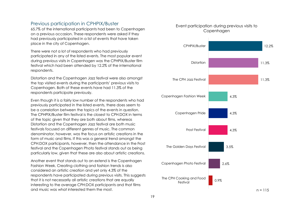#### <span id="page-19-0"></span>Previous participation in CPHPIX/Buster

65.7% of the international participants had been to Copenhagen on a previous occasion. These respondents were asked if they had previously participated in a list of events that have taken place in the city of Copenhagen.

There were not a lot of respondents who had previously participated in any of the listed events. The most popular event during previous visits in Copenhagen was the CPHPIX/Buster film festival which had been attended by 12.2% of the international respondents.

Distortion and the Copenhagen Jazz festival were also amongst the top visited events during the participants' previous visits to Copenhagen. Both of these events have had 11.3% of the respondents participate previously.

Even though it is a fairly low number of the respondents who had previously participated in the listed events, there does seem to be a correlation between the topics of the events in question. The CPHPIX/Buster film festival is the closest to CPH:DOX in terms of the topic given that they are both about films, whereas Distortion and the Copenhagen Jazz festival are both music festivals focused on different genres of music. The common denominator, however, was the focus on artistic creations in the form of music and films. If this was a general trend amongst the CPH:DOX participants, however, then the attendance in the Frost festival and the Copenhagen Photo festival stands out as being particularly low, given that these are also about artistic creations.

Another event that stands out to an extend is the Copenhagen Fashion Week. Creating clothing and fashion trends is also considered an artistic creation and yet only 4.3% of the respondents have participated during previous visits. This suggests that it is not necessarily all artistic creations that are equally interesting to the average CPH:DOX participants and that films and music was what interested them the most.

#### Event participation during previous visits to **Copenhagen**

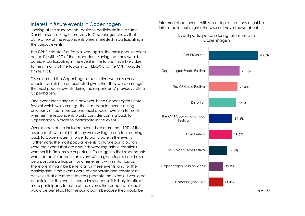#### <span id="page-20-0"></span>Interest in future events in Copenhagen

Looking at the respondents' desire to participate in the same Danish events during future visits to Copenhagen shows that quite a few of the respondents were interested in participating in the various events.

The CPHPIX/Buster film festival was, again, the most popular event on the list with 40% of the respondents saying that they would consider participating in the event in the future. This is likely due to the similarity of the topics in CPH:DOX and the CPHPIX/Buster film festival.

Distortion and the Copenhagen Jazz festival were also very popular, which is to be expected given that they were amongst the most popular events during the respondents' previous visits to Copenhagen.

One event that stands out, however, is the Copenhagen Photo festival which was amongst the least popular events during previous visit, but is the second most popular event in terms of whether the respondents would consider coming back to Copenhagen in order to participate in the event.

Overall each of the included events had more than 10% of the respondents who said that they were willing to consider coming back to Copenhagen in order to participate in the event. Furthermore, the most popular events for future participation were the events that are about showcasing artistic creations, whether it is films, music or pictures. This suggests that respondents who had participated in an event with a given topic, could also be a possible participant for other events with similar topics. Therefore, it might be beneficial for these events, and for the participants, if the events were to cooperate and create joint activities that are meant to cross-promote the events. It would be beneficial for the events themselves because it is likely to attract more participants to each of the events that cooperates and it would be beneficial for the participants because they would be

informed about events with similar topics that they might be interested in, but might otherwise not have known about.

#### Event participation during future visits to Copenhagen

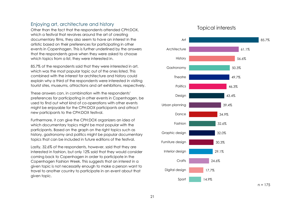#### <span id="page-21-0"></span>Enjoying art, architecture and history

Other than the fact that the respondents attended CPH:DOX, which a festival that revolves around the art of creating documentary films, they also seem to have an interest in the artistic based on their preferences for participating in other events in Copenhagen. This is further underlined by the answers that the respondents gave when they were asked to choose which topics from a list, they were interested in.

85.7% of the respondents said that they were interested in art, which was the most popular topic out of the ones listed. This combined with the interest for architecture and history could explain why a third of the respondents were interested in visiting tourist sites, museums, attractions and art exhibitions, respectively.

These answers can, in combination with the respondents' preferences for participating in other events in Copenhagen, be used to find out what kind of co-operations with other events might be enjoyable for the CPH:DOX participants and attract new participants to the CPH:DOX festival.

Furthermore, it can give the CPH:DOX organizers an idea of which documentary topics might be most popular with the participants. Based on the graph on the right topics such as history, gastronomy and politics might be popular documentary topics that can be included in future editions of the festival.

Lastly, 32.6% of the respondents, however, said that they are interested in fashion, but only 12% said that they would consider coming back to Copenhagen in order to participate in the Copenhagen Fashion Week. This suggests that an interest in a given topic is not necessarily enough to make a person want to travel to another country to participate in an event about that given topic.

#### Topical interests



 $n = 175$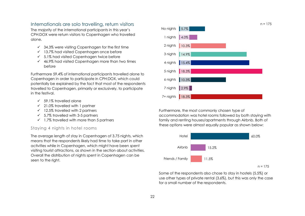#### <span id="page-22-0"></span>Internationals are solo travelling, return visitors

The majority of the international participants in this year's CPH:DOX were return visitors to Copenhagen who travelled alone.

- $\checkmark$  34.3% were visiting Copenhagen for the first time
- ✓ 13.7% had visited Copenhagen once before
- $\checkmark$  5.1% had visited Copenhagen twice before
- $\checkmark$  46.9% had visited Copenhagen more than two times before

Furthermore 59.4% of international participants travelled alone to Copenhagen in order to participate in CPH:DOX, which could potentially be explained by the fact that most of the respondents travelled to Copenhagen, primarily or exclusively, to participate in the festival.

- $\sqrt{59.1\%}$  travelled alone
- ✓ 21.0% travelled with 1 partner
- $\checkmark$  12.5% travelled with 2 partners
- $\checkmark$  5.7% travelled with 3-5 partners
- $\checkmark$  1.7% travelled with more than 5 partners

#### Staying 4 nights in hotel rooms

The average length of stay in Copenhagen of 3.75 nights, which means that the respondents likely had time to take part in other activities while in Copenhagen, which might have been spent visiting tourist attractions, as shown in the section about activities. Overall the distribution of nights spent in Copenhagen can be seen to the right.



Furthermore, the most commonly chosen type of accommodation was hotel rooms followed by both staying with family and renting houses/apartments through Airbnb. Both of these options were almost equally popular as shown below:



Some of the respondents also chose to stay in hostels (5.5%) or use other types of private rental (3.6%), but this was only the case for a small number of the respondents.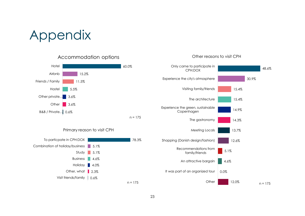## Appendix

Accommodation options



#### Primary reason to visit CPH



#### 48.6% 30.9% 15.4% 15.4% 14.9% 14.3% 13.7% 12.6% 5.1% 4.6% 0.0% CPH:DOX Experience the city's atmosphere Visiting family/friends The architecture Experience the green, sustainable Copenhagen The gastronomy Meeting Locals Shopping (Danish design/fashion) Recommendations from family/friends An attractive bargain It was part of an organized tour

**Other** 

12.0%

 $n = 175$ 

#### Other reasons to visit CPH

Only came to participate in

23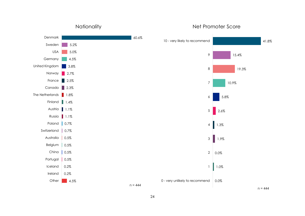

**Nationality** 

#### Net Promoter Score